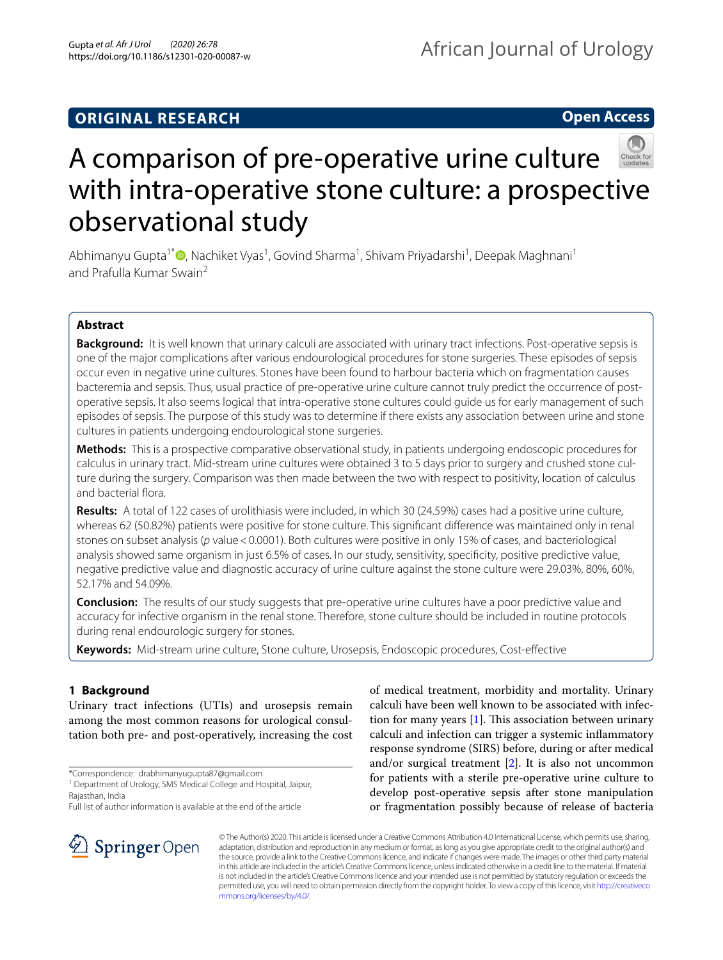## **ORIGINAL RESEARCH**

**Open Access**



# A comparison of pre-operative urine culture with intra-operative stone culture: a prospective observational study

Abhimanyu Gupta<sup>1\*</sup> <sup>(D</sup>[,](http://orcid.org/0000-0002-1489-3992) Nachiket Vyas<sup>1</sup>, Govind Sharma<sup>1</sup>, Shivam Priyadarshi<sup>1</sup>, Deepak Maghnani<sup>1</sup> and Prafulla Kumar Swain2

## **Abstract**

**Background:** It is well known that urinary calculi are associated with urinary tract infections. Post-operative sepsis is one of the major complications after various endourological procedures for stone surgeries. These episodes of sepsis occur even in negative urine cultures. Stones have been found to harbour bacteria which on fragmentation causes bacteremia and sepsis. Thus, usual practice of pre-operative urine culture cannot truly predict the occurrence of postoperative sepsis. It also seems logical that intra-operative stone cultures could guide us for early management of such episodes of sepsis. The purpose of this study was to determine if there exists any association between urine and stone cultures in patients undergoing endourological stone surgeries.

**Methods:** This is a prospective comparative observational study, in patients undergoing endoscopic procedures for calculus in urinary tract. Mid-stream urine cultures were obtained 3 to 5 days prior to surgery and crushed stone culture during the surgery. Comparison was then made between the two with respect to positivity, location of calculus and bacterial fora.

**Results:** A total of 122 cases of urolithiasis were included, in which 30 (24.59%) cases had a positive urine culture, whereas 62 (50.82%) patients were positive for stone culture. This signifcant diference was maintained only in renal stones on subset analysis (*p* value<0.0001). Both cultures were positive in only 15% of cases, and bacteriological analysis showed same organism in just 6.5% of cases. In our study, sensitivity, specifcity, positive predictive value, negative predictive value and diagnostic accuracy of urine culture against the stone culture were 29.03%, 80%, 60%, 52.17% and 54.09%.

**Conclusion:** The results of our study suggests that pre-operative urine cultures have a poor predictive value and accuracy for infective organism in the renal stone. Therefore, stone culture should be included in routine protocols during renal endourologic surgery for stones.

**Keywords:** Mid-stream urine culture, Stone culture, Urosepsis, Endoscopic procedures, Cost-efective

## **1 Background**

Urinary tract infections (UTIs) and urosepsis remain among the most common reasons for urological consultation both pre- and post-operatively, increasing the cost

<sup>1</sup> Department of Urology, SMS Medical College and Hospital, Jaipur, Rajasthan, India

Full list of author information is available at the end of the article





© The Author(s) 2020. This article is licensed under a Creative Commons Attribution 4.0 International License, which permits use, sharing, adaptation, distribution and reproduction in any medium or format, as long as you give appropriate credit to the original author(s) and the source, provide a link to the Creative Commons licence, and indicate if changes were made. The images or other third party material in this article are included in the article's Creative Commons licence, unless indicated otherwise in a credit line to the material. If material is not included in the article's Creative Commons licence and your intended use is not permitted by statutory regulation or exceeds the permitted use, you will need to obtain permission directly from the copyright holder. To view a copy of this licence, visit [http://creativeco](http://creativecommons.org/licenses/by/4.0/) [mmons.org/licenses/by/4.0/.](http://creativecommons.org/licenses/by/4.0/)

<sup>\*</sup>Correspondence: drabhimanyugupta87@gmail.com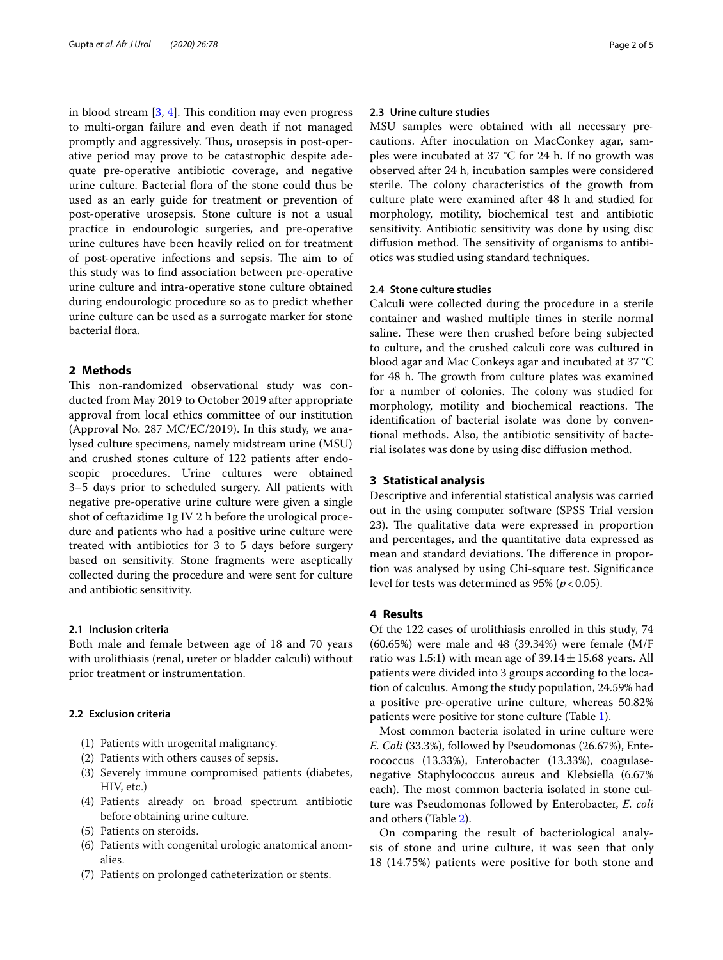in blood stream  $[3, 4]$  $[3, 4]$  $[3, 4]$  $[3, 4]$ . This condition may even progress to multi-organ failure and even death if not managed promptly and aggressively. Thus, urosepsis in post-operative period may prove to be catastrophic despite adequate pre-operative antibiotic coverage, and negative urine culture. Bacterial flora of the stone could thus be used as an early guide for treatment or prevention of post-operative urosepsis. Stone culture is not a usual practice in endourologic surgeries, and pre-operative urine cultures have been heavily relied on for treatment of post-operative infections and sepsis. The aim to of this study was to fnd association between pre-operative urine culture and intra-operative stone culture obtained during endourologic procedure so as to predict whether urine culture can be used as a surrogate marker for stone bacterial flora.

## **2 Methods**

This non-randomized observational study was conducted from May 2019 to October 2019 after appropriate approval from local ethics committee of our institution (Approval No. 287 MC/EC/2019). In this study, we analysed culture specimens, namely midstream urine (MSU) and crushed stones culture of 122 patients after endoscopic procedures. Urine cultures were obtained 3–5 days prior to scheduled surgery. All patients with negative pre-operative urine culture were given a single shot of ceftazidime 1g IV 2 h before the urological procedure and patients who had a positive urine culture were treated with antibiotics for 3 to 5 days before surgery based on sensitivity. Stone fragments were aseptically collected during the procedure and were sent for culture and antibiotic sensitivity.

#### **2.1 Inclusion criteria**

Both male and female between age of 18 and 70 years with urolithiasis (renal, ureter or bladder calculi) without prior treatment or instrumentation.

#### **2.2 Exclusion criteria**

- (1) Patients with urogenital malignancy.
- (2) Patients with others causes of sepsis.
- (3) Severely immune compromised patients (diabetes, HIV, etc.)
- (4) Patients already on broad spectrum antibiotic before obtaining urine culture.
- (5) Patients on steroids.
- (6) Patients with congenital urologic anatomical anomalies.
- (7) Patients on prolonged catheterization or stents.

## **2.3 Urine culture studies**

MSU samples were obtained with all necessary precautions. After inoculation on MacConkey agar, samples were incubated at 37 °C for 24 h. If no growth was observed after 24 h, incubation samples were considered sterile. The colony characteristics of the growth from culture plate were examined after 48 h and studied for morphology, motility, biochemical test and antibiotic sensitivity. Antibiotic sensitivity was done by using disc diffusion method. The sensitivity of organisms to antibiotics was studied using standard techniques.

## **2.4 Stone culture studies**

Calculi were collected during the procedure in a sterile container and washed multiple times in sterile normal saline. These were then crushed before being subjected to culture, and the crushed calculi core was cultured in blood agar and Mac Conkeys agar and incubated at 37 °C for 48 h. The growth from culture plates was examined for a number of colonies. The colony was studied for morphology, motility and biochemical reactions. The identifcation of bacterial isolate was done by conventional methods. Also, the antibiotic sensitivity of bacterial isolates was done by using disc difusion method.

#### **3 Statistical analysis**

Descriptive and inferential statistical analysis was carried out in the using computer software (SPSS Trial version 23). The qualitative data were expressed in proportion and percentages, and the quantitative data expressed as mean and standard deviations. The difference in proportion was analysed by using Chi-square test. Signifcance level for tests was determined as  $95\%$  ( $p < 0.05$ ).

## **4 Results**

Of the 122 cases of urolithiasis enrolled in this study, 74 (60.65%) were male and 48 (39.34%) were female (M/F ratio was 1.5:1) with mean age of  $39.14 \pm 15.68$  years. All patients were divided into 3 groups according to the location of calculus. Among the study population, 24.59% had a positive pre-operative urine culture, whereas 50.82% patients were positive for stone culture (Table [1](#page-2-0)).

Most common bacteria isolated in urine culture were *E. Coli* (33.3%), followed by Pseudomonas (26.67%), Enterococcus (13.33%), Enterobacter (13.33%), coagulasenegative Staphylococcus aureus and Klebsiella (6.67% each). The most common bacteria isolated in stone culture was Pseudomonas followed by Enterobacter, *E. coli* and others (Table [2](#page-2-1)).

On comparing the result of bacteriological analysis of stone and urine culture, it was seen that only 18 (14.75%) patients were positive for both stone and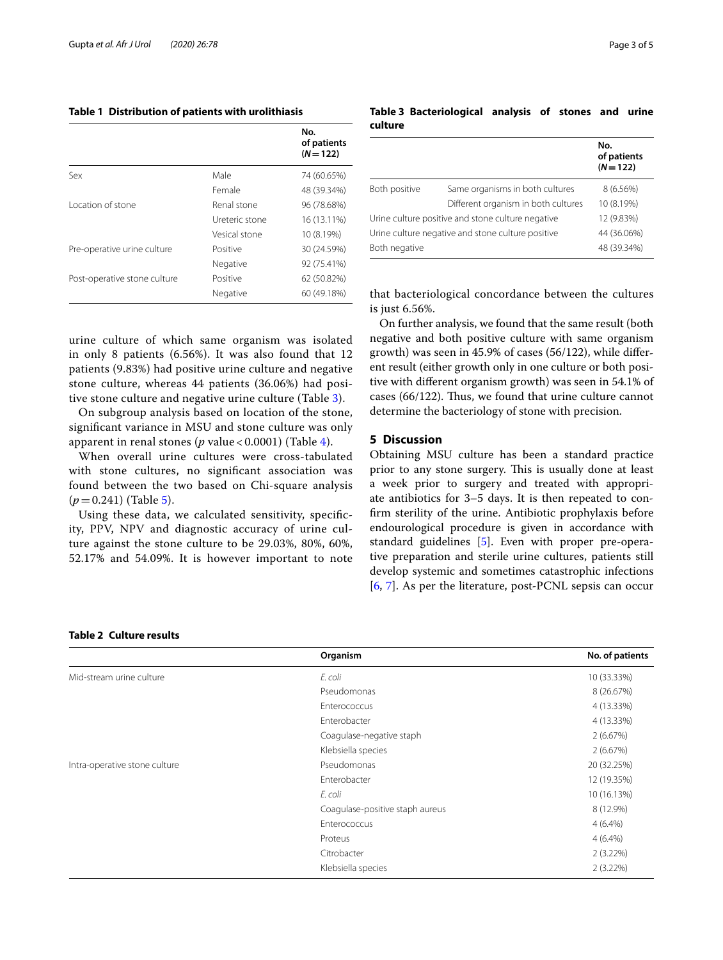## <span id="page-2-0"></span>**Table 1 Distribution of patients with urolithiasis**

|                              |                | No.<br>of patients<br>$(N = 122)$ |
|------------------------------|----------------|-----------------------------------|
| Sex                          | Male           | 74 (60.65%)                       |
|                              | Female         | 48 (39.34%)                       |
| Location of stone            | Renal stone    | 96 (78.68%)                       |
|                              | Ureteric stone | 16 (13.11%)                       |
|                              | Vesical stone  | 10 (8.19%)                        |
| Pre-operative urine culture  | Positive       | 30 (24.59%)                       |
|                              | Negative       | 92 (75.41%)                       |
| Post-operative stone culture | Positive       | 62 (50.82%)                       |
|                              | Negative       | 60 (49.18%)                       |

urine culture of which same organism was isolated in only 8 patients (6.56%). It was also found that 12 patients (9.83%) had positive urine culture and negative stone culture, whereas 44 patients (36.06%) had positive stone culture and negative urine culture (Table [3\)](#page-2-2).

On subgroup analysis based on location of the stone, signifcant variance in MSU and stone culture was only apparent in renal stones (*p* value < 0.0001) (Table [4\)](#page-3-0).

When overall urine cultures were cross-tabulated with stone cultures, no signifcant association was found between the two based on Chi-square analysis (*p*=0.241) (Table [5](#page-3-1)).

Using these data, we calculated sensitivity, specifcity, PPV, NPV and diagnostic accuracy of urine culture against the stone culture to be 29.03%, 80%, 60%, 52.17% and 54.09%. It is however important to note

## <span id="page-2-2"></span>**Table 3 Bacteriological analysis of stones and urine culture**

|                                                   |                                     | No.<br>of patients<br>$(N = 122)$ |
|---------------------------------------------------|-------------------------------------|-----------------------------------|
| Both positive                                     | Same organisms in both cultures     | 8 (6.56%)                         |
|                                                   | Different organism in both cultures | 10 (8.19%)                        |
| Urine culture positive and stone culture negative |                                     | 12 (9.83%)                        |
| Urine culture negative and stone culture positive |                                     | 44 (36.06%)                       |
| Both negative                                     |                                     | 48 (39.34%)                       |

that bacteriological concordance between the cultures is just 6.56%.

On further analysis, we found that the same result (both negative and both positive culture with same organism growth) was seen in 45.9% of cases (56/122), while diferent result (either growth only in one culture or both positive with diferent organism growth) was seen in 54.1% of cases ( $66/122$ ). Thus, we found that urine culture cannot determine the bacteriology of stone with precision.

### **5 Discussion**

Obtaining MSU culture has been a standard practice prior to any stone surgery. This is usually done at least a week prior to surgery and treated with appropriate antibiotics for 3–5 days. It is then repeated to confrm sterility of the urine. Antibiotic prophylaxis before endourological procedure is given in accordance with standard guidelines [\[5](#page-4-4)]. Even with proper pre-operative preparation and sterile urine cultures, patients still develop systemic and sometimes catastrophic infections [[6,](#page-4-5) [7](#page-4-6)]. As per the literature, post-PCNL sepsis can occur

## <span id="page-2-1"></span>**Table 2 Culture results**

|                               | Organism                        | No. of patients |
|-------------------------------|---------------------------------|-----------------|
| Mid-stream urine culture      | E. coli                         | 10 (33.33%)     |
|                               | Pseudomonas                     | 8 (26.67%)      |
|                               | Enterococcus                    | 4 (13.33%)      |
|                               | Enterobacter                    | 4 (13.33%)      |
|                               | Coagulase-negative staph        | 2(6.67%)        |
|                               | Klebsiella species              | 2(6.67%)        |
| Intra-operative stone culture | Pseudomonas                     | 20 (32.25%)     |
|                               | Enterobacter                    | 12 (19.35%)     |
|                               | E. coli                         | 10 (16.13%)     |
|                               | Coagulase-positive staph aureus | 8 (12.9%)       |
|                               | Enterococcus                    | $4(6.4\%)$      |
|                               | Proteus                         | $4(6.4\%)$      |
|                               | Citrobacter                     | 2(3.22%)        |
|                               | Klebsiella species              | $2(3.22\%)$     |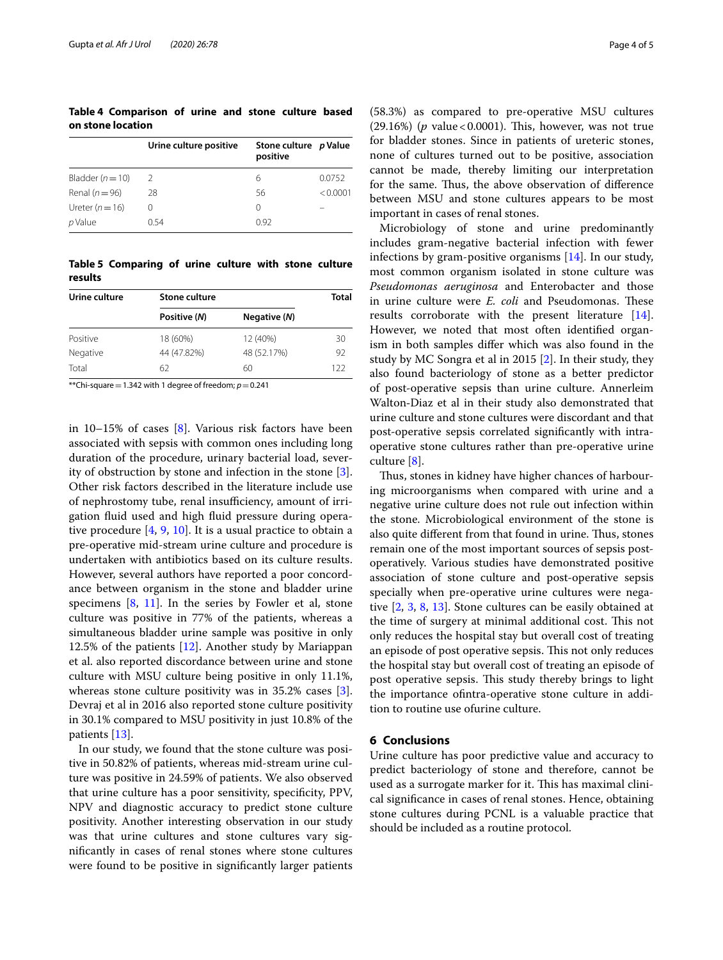<span id="page-3-0"></span>**Table 4 Comparison of urine and stone culture based on stone location**

|                  | Urine culture positive | Stone culture p Value<br>positive |          |
|------------------|------------------------|-----------------------------------|----------|
| Bladder $(n=10)$ | $\mathcal{L}$          | 6                                 | 0.0752   |
| Renal $(n=96)$   | 28                     | 56                                | < 0.0001 |
| Ureter $(n=16)$  | Ω                      | Ω                                 |          |
| p Value          | 0.54                   | O 92                              |          |

<span id="page-3-1"></span>**Table 5 Comparing of urine culture with stone culture results**

| Urine culture | Stone culture |              | <b>Total</b> |
|---------------|---------------|--------------|--------------|
|               | Positive (N)  | Negative (N) |              |
| Positive      | 18 (60%)      | 12 (40%)     | 30           |
| Negative      | 44 (47.82%)   | 48 (52.17%)  | 92           |
| Total         | 62            | 60           | 122          |

\*\*Chi-square = 1.342 with 1 degree of freedom;  $p=0.241$ 

in 10–15% of cases [\[8](#page-4-7)]. Various risk factors have been associated with sepsis with common ones including long duration of the procedure, urinary bacterial load, severity of obstruction by stone and infection in the stone [\[3](#page-4-2)]. Other risk factors described in the literature include use of nephrostomy tube, renal insufficiency, amount of irrigation fuid used and high fuid pressure during operative procedure  $[4, 9, 10]$  $[4, 9, 10]$  $[4, 9, 10]$  $[4, 9, 10]$  $[4, 9, 10]$  $[4, 9, 10]$ . It is a usual practice to obtain a pre-operative mid-stream urine culture and procedure is undertaken with antibiotics based on its culture results. However, several authors have reported a poor concordance between organism in the stone and bladder urine specimens  $[8, 11]$  $[8, 11]$  $[8, 11]$ . In the series by Fowler et al, stone culture was positive in 77% of the patients, whereas a simultaneous bladder urine sample was positive in only 12.5% of the patients [[12\]](#page-4-11). Another study by Mariappan et al. also reported discordance between urine and stone culture with MSU culture being positive in only 11.1%, whereas stone culture positivity was in 35.2% cases [\[3](#page-4-2)]. Devraj et al in 2016 also reported stone culture positivity in 30.1% compared to MSU positivity in just 10.8% of the patients [[13\]](#page-4-12).

In our study, we found that the stone culture was positive in 50.82% of patients, whereas mid-stream urine culture was positive in 24.59% of patients. We also observed that urine culture has a poor sensitivity, specifcity, PPV, NPV and diagnostic accuracy to predict stone culture positivity. Another interesting observation in our study was that urine cultures and stone cultures vary signifcantly in cases of renal stones where stone cultures were found to be positive in signifcantly larger patients (58.3%) as compared to pre-operative MSU cultures  $(29.16%)$  (*p* value < 0.0001). This, however, was not true for bladder stones. Since in patients of ureteric stones, none of cultures turned out to be positive, association cannot be made, thereby limiting our interpretation for the same. Thus, the above observation of difference between MSU and stone cultures appears to be most important in cases of renal stones.

Microbiology of stone and urine predominantly includes gram-negative bacterial infection with fewer infections by gram-positive organisms [\[14\]](#page-4-13). In our study, most common organism isolated in stone culture was *Pseudomonas aeruginosa* and Enterobacter and those in urine culture were *E. coli* and Pseudomonas. These results corroborate with the present literature [\[14](#page-4-13)]. However, we noted that most often identifed organism in both samples difer which was also found in the study by MC Songra et al in 2015 [[2\]](#page-4-1). In their study, they also found bacteriology of stone as a better predictor of post-operative sepsis than urine culture. Annerleim Walton-Diaz et al in their study also demonstrated that urine culture and stone cultures were discordant and that post-operative sepsis correlated signifcantly with intraoperative stone cultures rather than pre-operative urine culture [\[8](#page-4-7)].

Thus, stones in kidney have higher chances of harbouring microorganisms when compared with urine and a negative urine culture does not rule out infection within the stone. Microbiological environment of the stone is also quite different from that found in urine. Thus, stones remain one of the most important sources of sepsis postoperatively. Various studies have demonstrated positive association of stone culture and post-operative sepsis specially when pre-operative urine cultures were negative [[2,](#page-4-1) [3,](#page-4-2) [8,](#page-4-7) [13\]](#page-4-12). Stone cultures can be easily obtained at the time of surgery at minimal additional cost. This not only reduces the hospital stay but overall cost of treating an episode of post operative sepsis. This not only reduces the hospital stay but overall cost of treating an episode of post operative sepsis. This study thereby brings to light the importance ofntra-operative stone culture in addition to routine use ofurine culture.

## **6 Conclusions**

Urine culture has poor predictive value and accuracy to predict bacteriology of stone and therefore, cannot be used as a surrogate marker for it. This has maximal clinical signifcance in cases of renal stones. Hence, obtaining stone cultures during PCNL is a valuable practice that should be included as a routine protocol.